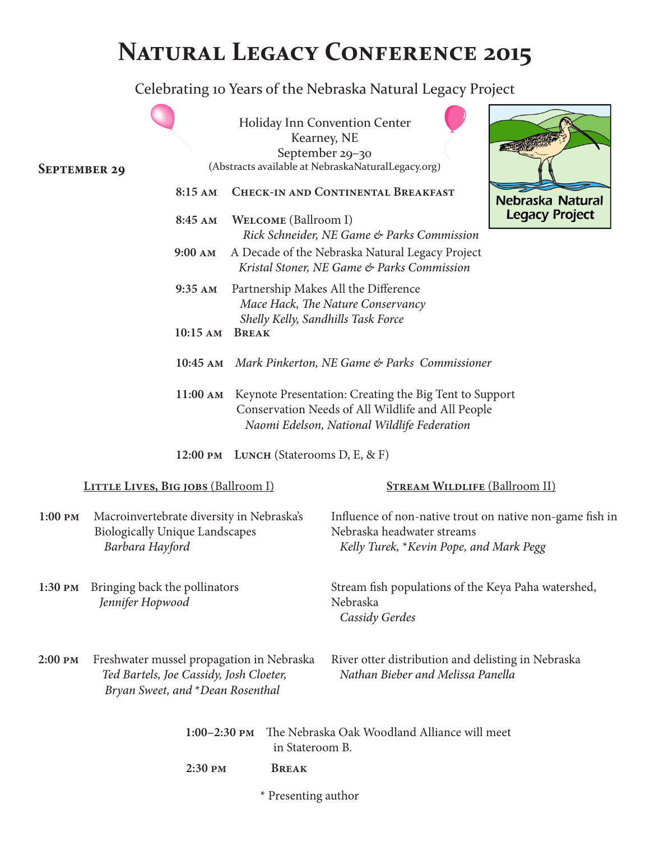# **NATURAL LEGACY CONFERENCE 2015**

Celebrating 10 Years of the Nebraska Natural Legacy Project

| <b>SEPTEMBER 29</b> |                                                                                                                          |                   |              |                      | Holiday Inn Convention Center<br>Kearney, NE<br>September 29-30<br>(Abstracts available at NebraskaNaturalLegacy.org)                                      |  | <b>ENGIN</b>                         |  |
|---------------------|--------------------------------------------------------------------------------------------------------------------------|-------------------|--------------|----------------------|------------------------------------------------------------------------------------------------------------------------------------------------------------|--|--------------------------------------|--|
|                     |                                                                                                                          | 8:15 AM           |              |                      | <b>CHECK-IN AND CONTINENTAL BREAKFAST</b>                                                                                                                  |  | Nebraska Natural                     |  |
|                     |                                                                                                                          | 8:45 AM           |              | WELCOME (Ballroom I) | Rick Schneider, NE Game & Parks Commission                                                                                                                 |  | <b>Legacy Project</b>                |  |
|                     |                                                                                                                          | $9:00 \text{ AM}$ |              |                      | A Decade of the Nebraska Natural Legacy Project<br>Kristal Stoner, NE Game & Parks Commission                                                              |  |                                      |  |
|                     |                                                                                                                          | $9:35$ AM         |              |                      | Partnership Makes All the Difference<br>Mace Hack, The Nature Conservancy<br>Shelly Kelly, Sandhills Task Force                                            |  |                                      |  |
|                     |                                                                                                                          | $10:15$ AM        | <b>BREAK</b> |                      |                                                                                                                                                            |  |                                      |  |
|                     |                                                                                                                          |                   |              |                      | 10:45 AM Mark Pinkerton, NE Game & Parks Commissioner                                                                                                      |  |                                      |  |
|                     |                                                                                                                          | 11:00 AM          |              |                      | Keynote Presentation: Creating the Big Tent to Support<br>Conservation Needs of All Wildlife and All People<br>Naomi Edelson, National Wildlife Federation |  |                                      |  |
|                     |                                                                                                                          |                   |              |                      | 12:00 PM LUNCH (Staterooms D, E, & F)                                                                                                                      |  |                                      |  |
|                     | <b>LITTLE LIVES, BIG JOBS (Ballroom I)</b>                                                                               |                   |              |                      |                                                                                                                                                            |  | <b>STREAM WILDLIFE (Ballroom II)</b> |  |
| $1:00$ PM           | Macroinvertebrate diversity in Nebraska's<br><b>Biologically Unique Landscapes</b><br>Barbara Hayford                    |                   |              |                      | Influence of non-native trout on native non-game fish in<br>Nebraska headwater streams<br>Kelly Turek, *Kevin Pope, and Mark Pegg                          |  |                                      |  |
|                     | 1:30 PM Bringing back the pollinators<br>Jennifer Hopwood                                                                |                   |              |                      | Stream fish populations of the Keya Paha watershed,<br>Nebraska<br>Cassidy Gerdes                                                                          |  |                                      |  |
| 2:00 PM             | Freshwater mussel propagation in Nebraska<br>Ted Bartels, Joe Cassidy, Josh Cloeter,<br>Bryan Sweet, and *Dean Rosenthal |                   |              |                      | River otter distribution and delisting in Nebraska<br>Nathan Bieber and Melissa Panella                                                                    |  |                                      |  |
|                     |                                                                                                                          | $1:00-2:30$ PM    |              | in Stateroom B.      | The Nebraska Oak Woodland Alliance will meet                                                                                                               |  |                                      |  |
|                     |                                                                                                                          | 2:30 PM           |              | <b>BREAK</b>         |                                                                                                                                                            |  |                                      |  |
|                     |                                                                                                                          |                   |              | * Presenting author  |                                                                                                                                                            |  |                                      |  |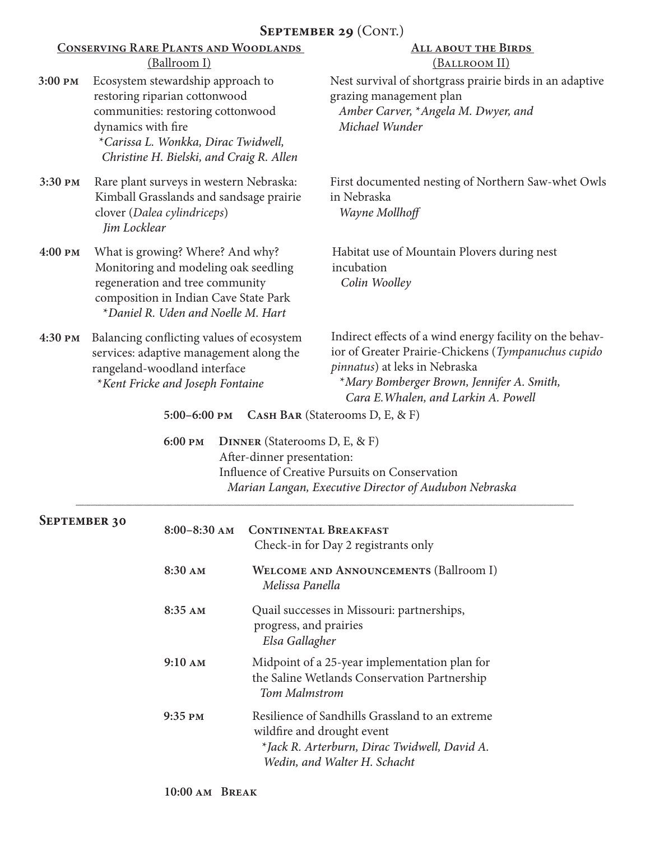#### **3:00 pm** Ecosystem stewardship approach to restoring riparian cottonwood communities: restoring cottonwood dynamics with fire \**Carissa L. Wonkka, Dirac Twidwell, Christine H. Bielski, and Craig R. Allen* **Conserving Rare Plants and Woodlands**  (Ballroom I) **All about the Birds**  (Ballroom II) Nest survival of shortgrass prairie birds in an adaptive grazing management plan  *Amber Carver,* \**Angela M. Dwyer, and Michael Wunder* SEPTEMBER 29 (CONT.) First documented nesting of Northern Saw-whet Owls in Nebraska  *Wayne Mollhoff* **3:30 pm** Rare plant surveys in western Nebraska: Kimball Grasslands and sandsage prairie clover (*Dalea cylindriceps*) *Jim Locklear* **September 30 4:00 pm** What is growing? Where? And why? Monitoring and modeling oak seedling regeneration and tree community composition in Indian Cave State Park \**Daniel R. Uden and Noelle M. Hart* **4:30 pm** Balancing conflicting values of ecosystem services: adaptive management along the rangeland-woodland interface \**Kent Fricke and Joseph Fontaine* Habitat use of Mountain Plovers during nest incubation  *Colin Woolley* Indirect effects of a wind energy facility on the behavior of Greater Prairie-Chickens (*Tympanuchus cupido pinnatus*) at leks in Nebraska \**Mary Bomberger Brown, Jennifer A. Smith, Cara E.Whalen, and Larkin A. Powell* **6:00 pm Dinner** (Staterooms D, E, & F) After-dinner presentation: Influence of Creative Pursuits on Conservation  *Marian Langan, Executive Director of Audubon Nebraska*  **5:00–6:00 pm Cash Bar** (Staterooms D, E, & F) **8:00–8:30 am Continental Breakfast** Check-in for Day 2 registrants only **8:30 am Welcome and Announcements** (Ballroom I)

| <b>WELCOME AND ANNOUNCEMENTS (Ballroom I)</b><br>Melissa Panella                                                                                              |
|---------------------------------------------------------------------------------------------------------------------------------------------------------------|
| Quail successes in Missouri: partnerships,<br>progress, and prairies<br>Elsa Gallagher                                                                        |
| Midpoint of a 25-year implementation plan for<br>the Saline Wetlands Conservation Partnership<br>Tom Malmstrom                                                |
| Resilience of Sandhills Grassland to an extreme<br>wildfire and drought event<br>*Jack R. Arterburn, Dirac Twidwell, David A.<br>Wedin, and Walter H. Schacht |
|                                                                                                                                                               |